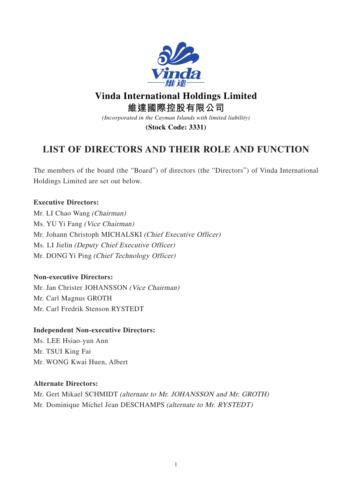

# **Vinda International Holdings Limited**

**維達國際控股有限公司**

*(Incorporated in the Cayman Islands with limited liability)*

**(Stock Code: 3331)**

# **LIST OF DIRECTORS AND THEIR ROLE AND FUNCTION**

The members of the board (the "Board") of directors (the "Directors") of Vinda International Holdings Limited are set out below.

# **Executive Directors:**

Mr. LI Chao Wang (Chairman) Ms. YU Yi Fang (Vice Chairman) Mr. Johann Christoph MICHALSKI (Chief Executive Officer) Ms. LI Jielin (Deputy Chief Executive Officer) Mr. DONG Yi Ping (Chief Technology Officer)

# **Non-executive Directors:**

Mr. Jan Christer JOHANSSON (Vice Chairman) Mr. Carl Magnus GROTH Mr. Carl Fredrik Stenson RYSTEDT

#### **Independent Non-executive Directors:**

Ms. LEE Hsiao-yun Ann Mr. TSUI King Fai Mr. WONG Kwai Huen, Albert

#### **Alternate Directors:**

Mr. Gert Mikael SCHMIDT (alternate to Mr. JOHANSSON and Mr. GROTH) Mr. Dominique Michel Jean DESCHAMPS (alternate to Mr. RYSTEDT)